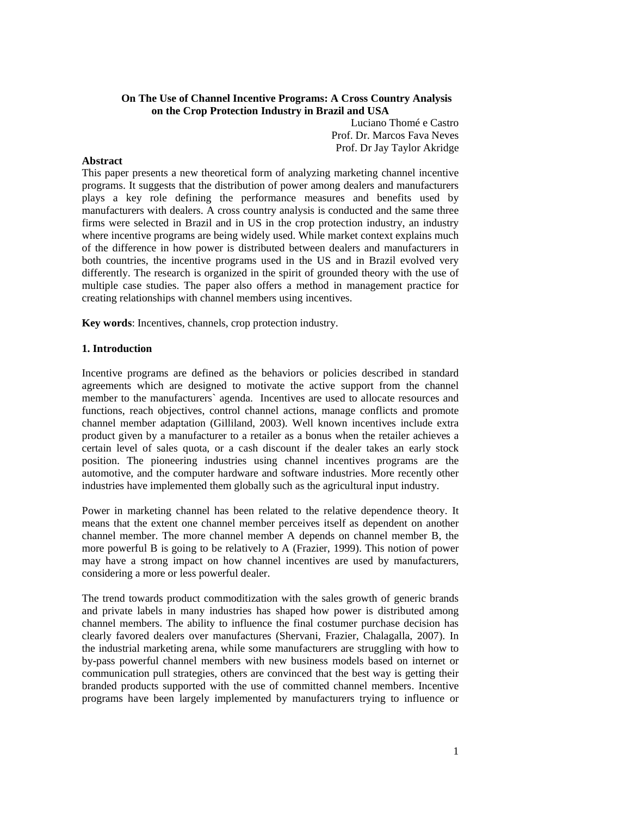# **On The Use of Channel Incentive Programs: A Cross Country Analysis on the Crop Protection Industry in Brazil and USA**

Luciano Thomé e Castro Prof. Dr. Marcos Fava Neves Prof. Dr Jay Taylor Akridge

This paper presents a new theoretical form of analyzing marketing channel incentive programs. It suggests that the distribution of power among dealers and manufacturers plays a key role defining the performance measures and benefits used by manufacturers with dealers. A cross country analysis is conducted and the same three firms were selected in Brazil and in US in the crop protection industry, an industry where incentive programs are being widely used. While market context explains much of the difference in how power is distributed between dealers and manufacturers in both countries, the incentive programs used in the US and in Brazil evolved very differently. The research is organized in the spirit of grounded theory with the use of multiple case studies. The paper also offers a method in management practice for creating relationships with channel members using incentives.

**Key words**: Incentives, channels, crop protection industry.

### **1. Introduction**

Incentive programs are defined as the behaviors or policies described in standard agreements which are designed to motivate the active support from the channel member to the manufacturers` agenda. Incentives are used to allocate resources and functions, reach objectives, control channel actions, manage conflicts and promote channel member adaptation (Gilliland, 2003). Well known incentives include extra product given by a manufacturer to a retailer as a bonus when the retailer achieves a certain level of sales quota, or a cash discount if the dealer takes an early stock position. The pioneering industries using channel incentives programs are the automotive, and the computer hardware and software industries. More recently other industries have implemented them globally such as the agricultural input industry.

Power in marketing channel has been related to the relative dependence theory. It means that the extent one channel member perceives itself as dependent on another channel member. The more channel member A depends on channel member B, the more powerful B is going to be relatively to A (Frazier, 1999). This notion of power may have a strong impact on how channel incentives are used by manufacturers, considering a more or less powerful dealer.

The trend towards product commoditization with the sales growth of generic brands and private labels in many industries has shaped how power is distributed among channel members. The ability to influence the final costumer purchase decision has clearly favored dealers over manufactures (Shervani, Frazier, Chalagalla, 2007). In the industrial marketing arena, while some manufacturers are struggling with how to by-pass powerful channel members with new business models based on internet or communication pull strategies, others are convinced that the best way is getting their branded products supported with the use of committed channel members. Incentive programs have been largely implemented by manufacturers trying to influence or

# **Abstract**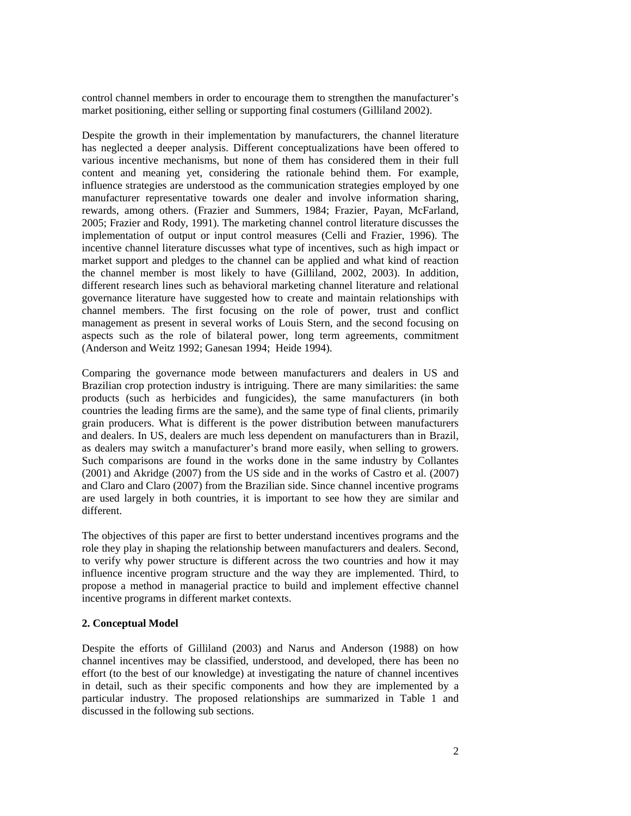control channel members in order to encourage them to strengthen the manufacturer's market positioning, either selling or supporting final costumers (Gilliland 2002).

Despite the growth in their implementation by manufacturers, the channel literature has neglected a deeper analysis. Different conceptualizations have been offered to various incentive mechanisms, but none of them has considered them in their full content and meaning yet, considering the rationale behind them. For example, influence strategies are understood as the communication strategies employed by one manufacturer representative towards one dealer and involve information sharing, rewards, among others. (Frazier and Summers, 1984; Frazier, Payan, McFarland, 2005; Frazier and Rody, 1991). The marketing channel control literature discusses the implementation of output or input control measures (Celli and Frazier, 1996). The incentive channel literature discusses what type of incentives, such as high impact or market support and pledges to the channel can be applied and what kind of reaction the channel member is most likely to have (Gilliland, 2002, 2003). In addition, different research lines such as behavioral marketing channel literature and relational governance literature have suggested how to create and maintain relationships with channel members. The first focusing on the role of power, trust and conflict management as present in several works of Louis Stern, and the second focusing on aspects such as the role of bilateral power, long term agreements, commitment (Anderson and Weitz 1992; Ganesan 1994; Heide 1994).

Comparing the governance mode between manufacturers and dealers in US and Brazilian crop protection industry is intriguing. There are many similarities: the same products (such as herbicides and fungicides), the same manufacturers (in both countries the leading firms are the same), and the same type of final clients, primarily grain producers. What is different is the power distribution between manufacturers and dealers. In US, dealers are much less dependent on manufacturers than in Brazil, as dealers may switch a manufacturer's brand more easily, when selling to growers. Such comparisons are found in the works done in the same industry by Collantes (2001) and Akridge (2007) from the US side and in the works of Castro et al. (2007) and Claro and Claro (2007) from the Brazilian side. Since channel incentive programs are used largely in both countries, it is important to see how they are similar and different.

The objectives of this paper are first to better understand incentives programs and the role they play in shaping the relationship between manufacturers and dealers. Second, to verify why power structure is different across the two countries and how it may influence incentive program structure and the way they are implemented. Third, to propose a method in managerial practice to build and implement effective channel incentive programs in different market contexts.

### **2. Conceptual Model**

Despite the efforts of Gilliland (2003) and Narus and Anderson (1988) on how channel incentives may be classified, understood, and developed, there has been no effort (to the best of our knowledge) at investigating the nature of channel incentives in detail, such as their specific components and how they are implemented by a particular industry. The proposed relationships are summarized in Table 1 and discussed in the following sub sections.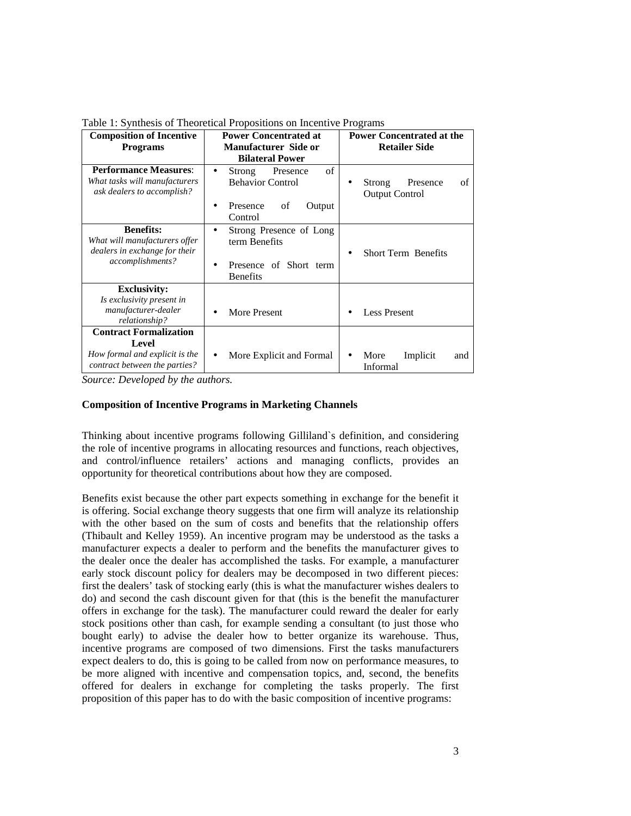| <b>Composition of Incentive</b><br><b>Programs</b>                                                        | <b>Power Concentrated at</b><br><b>Manufacturer Side or</b><br><b>Bilateral Power</b>                   | $1.01$ $1.01$ $1.001$ $1.001$ $1.001$ $1.001$ $1.001$ $1.001$ $1.001$ $1.001$<br><b>Power Concentrated at the</b><br><b>Retailer Side</b> |  |  |
|-----------------------------------------------------------------------------------------------------------|---------------------------------------------------------------------------------------------------------|-------------------------------------------------------------------------------------------------------------------------------------------|--|--|
| <b>Performance Measures:</b><br>What tasks will manufacturers<br>ask dealers to accomplish?               | of<br>Presence<br>Strong<br>$\bullet$<br><b>Behavior Control</b><br>of<br>Output<br>Presence<br>Control | of<br>Presence<br>Strong<br><b>Output Control</b>                                                                                         |  |  |
| <b>Benefits:</b><br>What will manufacturers offer<br>dealers in exchange for their<br>accomplishments?    | Strong Presence of Long<br>$\bullet$<br>term Benefits<br>Presence of Short term<br><b>Benefits</b>      | <b>Short Term Benefits</b>                                                                                                                |  |  |
| <b>Exclusivity:</b><br>Is exclusivity present in<br>manufacturer-dealer<br>relationship?                  | More Present<br>$\bullet$                                                                               | <b>Less Present</b>                                                                                                                       |  |  |
| <b>Contract Formalization</b><br>Level<br>How formal and explicit is the<br>contract between the parties? | More Explicit and Formal<br>٠                                                                           | Implicit<br>More<br>and<br>$\bullet$<br>Informal                                                                                          |  |  |

Table 1: Synthesis of Theoretical Propositions on Incentive Programs

*Source: Developed by the authors.* 

# **Composition of Incentive Programs in Marketing Channels**

Thinking about incentive programs following Gilliland`s definition, and considering the role of incentive programs in allocating resources and functions, reach objectives, and control/influence retailers' actions and managing conflicts, provides an opportunity for theoretical contributions about how they are composed.

Benefits exist because the other part expects something in exchange for the benefit it is offering. Social exchange theory suggests that one firm will analyze its relationship with the other based on the sum of costs and benefits that the relationship offers (Thibault and Kelley 1959). An incentive program may be understood as the tasks a manufacturer expects a dealer to perform and the benefits the manufacturer gives to the dealer once the dealer has accomplished the tasks. For example, a manufacturer early stock discount policy for dealers may be decomposed in two different pieces: first the dealers' task of stocking early (this is what the manufacturer wishes dealers to do) and second the cash discount given for that (this is the benefit the manufacturer offers in exchange for the task). The manufacturer could reward the dealer for early stock positions other than cash, for example sending a consultant (to just those who bought early) to advise the dealer how to better organize its warehouse. Thus, incentive programs are composed of two dimensions. First the tasks manufacturers expect dealers to do, this is going to be called from now on performance measures, to be more aligned with incentive and compensation topics, and, second, the benefits offered for dealers in exchange for completing the tasks properly. The first proposition of this paper has to do with the basic composition of incentive programs: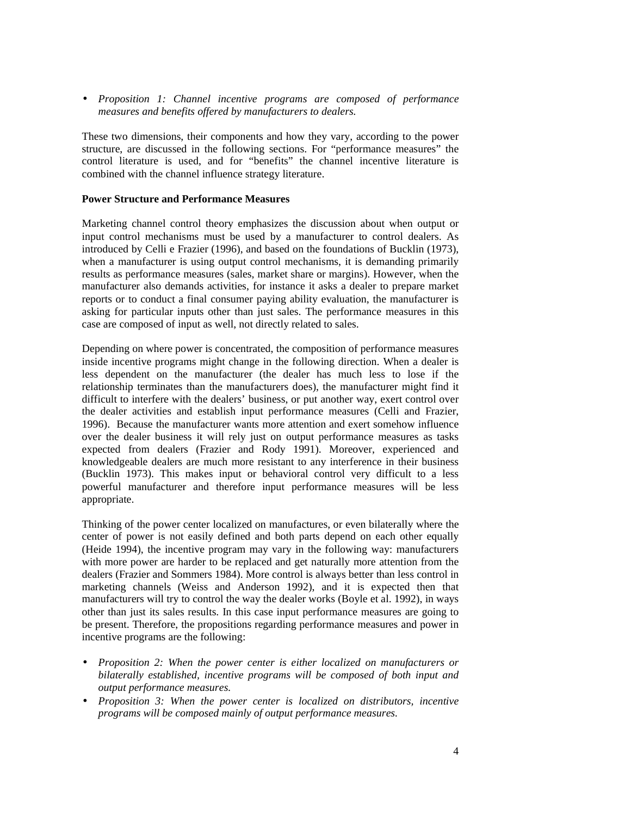• *Proposition 1: Channel incentive programs are composed of performance measures and benefits offered by manufacturers to dealers.* 

These two dimensions, their components and how they vary, according to the power structure, are discussed in the following sections. For "performance measures" the control literature is used, and for "benefits" the channel incentive literature is combined with the channel influence strategy literature.

### **Power Structure and Performance Measures**

Marketing channel control theory emphasizes the discussion about when output or input control mechanisms must be used by a manufacturer to control dealers. As introduced by Celli e Frazier (1996), and based on the foundations of Bucklin (1973), when a manufacturer is using output control mechanisms, it is demanding primarily results as performance measures (sales, market share or margins). However, when the manufacturer also demands activities, for instance it asks a dealer to prepare market reports or to conduct a final consumer paying ability evaluation, the manufacturer is asking for particular inputs other than just sales. The performance measures in this case are composed of input as well, not directly related to sales.

Depending on where power is concentrated, the composition of performance measures inside incentive programs might change in the following direction. When a dealer is less dependent on the manufacturer (the dealer has much less to lose if the relationship terminates than the manufacturers does), the manufacturer might find it difficult to interfere with the dealers' business, or put another way, exert control over the dealer activities and establish input performance measures (Celli and Frazier, 1996). Because the manufacturer wants more attention and exert somehow influence over the dealer business it will rely just on output performance measures as tasks expected from dealers (Frazier and Rody 1991). Moreover, experienced and knowledgeable dealers are much more resistant to any interference in their business (Bucklin 1973). This makes input or behavioral control very difficult to a less powerful manufacturer and therefore input performance measures will be less appropriate.

Thinking of the power center localized on manufactures, or even bilaterally where the center of power is not easily defined and both parts depend on each other equally (Heide 1994), the incentive program may vary in the following way: manufacturers with more power are harder to be replaced and get naturally more attention from the dealers (Frazier and Sommers 1984). More control is always better than less control in marketing channels (Weiss and Anderson 1992), and it is expected then that manufacturers will try to control the way the dealer works (Boyle et al. 1992), in ways other than just its sales results. In this case input performance measures are going to be present. Therefore, the propositions regarding performance measures and power in incentive programs are the following:

- *Proposition 2: When the power center is either localized on manufacturers or bilaterally established, incentive programs will be composed of both input and output performance measures.*
- *Proposition 3: When the power center is localized on distributors, incentive programs will be composed mainly of output performance measures.*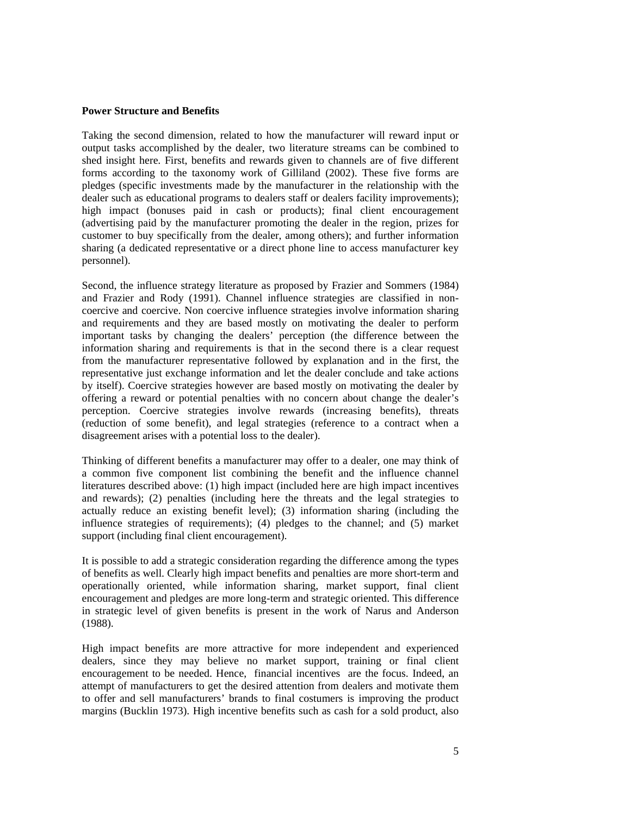#### **Power Structure and Benefits**

Taking the second dimension, related to how the manufacturer will reward input or output tasks accomplished by the dealer, two literature streams can be combined to shed insight here. First, benefits and rewards given to channels are of five different forms according to the taxonomy work of Gilliland (2002). These five forms are pledges (specific investments made by the manufacturer in the relationship with the dealer such as educational programs to dealers staff or dealers facility improvements); high impact (bonuses paid in cash or products); final client encouragement (advertising paid by the manufacturer promoting the dealer in the region, prizes for customer to buy specifically from the dealer, among others); and further information sharing (a dedicated representative or a direct phone line to access manufacturer key personnel).

Second, the influence strategy literature as proposed by Frazier and Sommers (1984) and Frazier and Rody (1991). Channel influence strategies are classified in noncoercive and coercive. Non coercive influence strategies involve information sharing and requirements and they are based mostly on motivating the dealer to perform important tasks by changing the dealers' perception (the difference between the information sharing and requirements is that in the second there is a clear request from the manufacturer representative followed by explanation and in the first, the representative just exchange information and let the dealer conclude and take actions by itself). Coercive strategies however are based mostly on motivating the dealer by offering a reward or potential penalties with no concern about change the dealer's perception. Coercive strategies involve rewards (increasing benefits), threats (reduction of some benefit), and legal strategies (reference to a contract when a disagreement arises with a potential loss to the dealer).

Thinking of different benefits a manufacturer may offer to a dealer, one may think of a common five component list combining the benefit and the influence channel literatures described above: (1) high impact (included here are high impact incentives and rewards); (2) penalties (including here the threats and the legal strategies to actually reduce an existing benefit level); (3) information sharing (including the influence strategies of requirements); (4) pledges to the channel; and (5) market support (including final client encouragement).

It is possible to add a strategic consideration regarding the difference among the types of benefits as well. Clearly high impact benefits and penalties are more short-term and operationally oriented, while information sharing, market support, final client encouragement and pledges are more long-term and strategic oriented. This difference in strategic level of given benefits is present in the work of Narus and Anderson (1988).

High impact benefits are more attractive for more independent and experienced dealers, since they may believe no market support, training or final client encouragement to be needed. Hence, financial incentives are the focus. Indeed, an attempt of manufacturers to get the desired attention from dealers and motivate them to offer and sell manufacturers' brands to final costumers is improving the product margins (Bucklin 1973). High incentive benefits such as cash for a sold product, also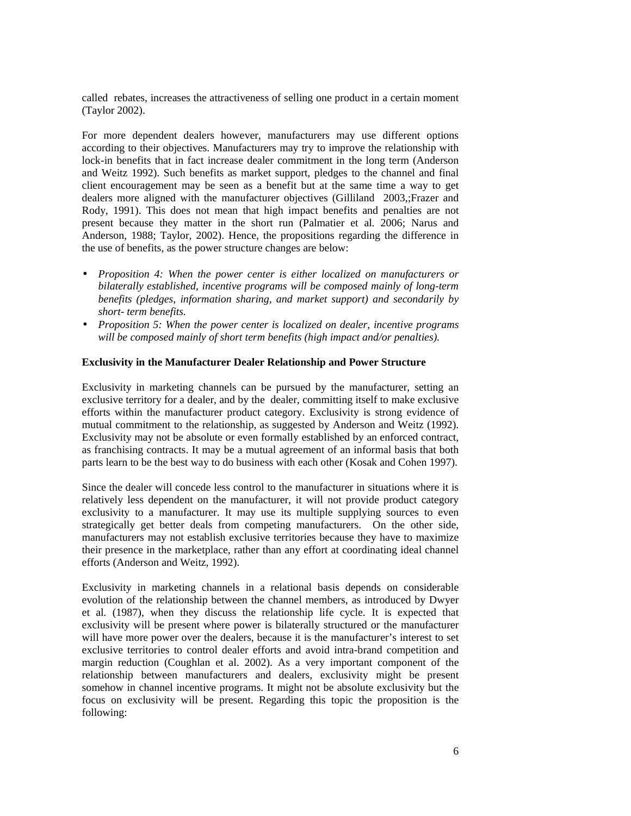called rebates, increases the attractiveness of selling one product in a certain moment (Taylor 2002).

For more dependent dealers however, manufacturers may use different options according to their objectives. Manufacturers may try to improve the relationship with lock-in benefits that in fact increase dealer commitment in the long term (Anderson and Weitz 1992). Such benefits as market support, pledges to the channel and final client encouragement may be seen as a benefit but at the same time a way to get dealers more aligned with the manufacturer objectives (Gilliland 2003,;Frazer and Rody, 1991). This does not mean that high impact benefits and penalties are not present because they matter in the short run (Palmatier et al. 2006; Narus and Anderson, 1988; Taylor, 2002). Hence, the propositions regarding the difference in the use of benefits, as the power structure changes are below:

- *Proposition 4: When the power center is either localized on manufacturers or bilaterally established, incentive programs will be composed mainly of long-term benefits (pledges, information sharing, and market support) and secondarily by short- term benefits.*
- *Proposition 5: When the power center is localized on dealer, incentive programs will be composed mainly of short term benefits (high impact and/or penalties).*

### **Exclusivity in the Manufacturer Dealer Relationship and Power Structure**

Exclusivity in marketing channels can be pursued by the manufacturer, setting an exclusive territory for a dealer, and by the dealer, committing itself to make exclusive efforts within the manufacturer product category. Exclusivity is strong evidence of mutual commitment to the relationship, as suggested by Anderson and Weitz (1992). Exclusivity may not be absolute or even formally established by an enforced contract, as franchising contracts. It may be a mutual agreement of an informal basis that both parts learn to be the best way to do business with each other (Kosak and Cohen 1997).

Since the dealer will concede less control to the manufacturer in situations where it is relatively less dependent on the manufacturer, it will not provide product category exclusivity to a manufacturer. It may use its multiple supplying sources to even strategically get better deals from competing manufacturers. On the other side, manufacturers may not establish exclusive territories because they have to maximize their presence in the marketplace, rather than any effort at coordinating ideal channel efforts (Anderson and Weitz, 1992).

Exclusivity in marketing channels in a relational basis depends on considerable evolution of the relationship between the channel members, as introduced by Dwyer et al. (1987), when they discuss the relationship life cycle. It is expected that exclusivity will be present where power is bilaterally structured or the manufacturer will have more power over the dealers, because it is the manufacturer's interest to set exclusive territories to control dealer efforts and avoid intra-brand competition and margin reduction (Coughlan et al. 2002). As a very important component of the relationship between manufacturers and dealers, exclusivity might be present somehow in channel incentive programs. It might not be absolute exclusivity but the focus on exclusivity will be present. Regarding this topic the proposition is the following: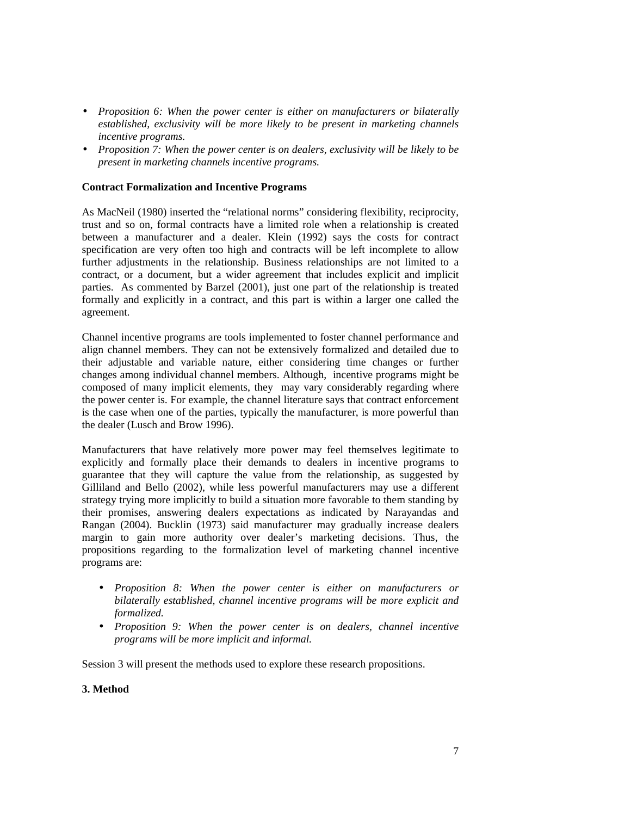- *Proposition 6: When the power center is either on manufacturers or bilaterally established, exclusivity will be more likely to be present in marketing channels incentive programs.*
- *Proposition 7: When the power center is on dealers, exclusivity will be likely to be present in marketing channels incentive programs.*

# **Contract Formalization and Incentive Programs**

As MacNeil (1980) inserted the "relational norms" considering flexibility, reciprocity, trust and so on, formal contracts have a limited role when a relationship is created between a manufacturer and a dealer. Klein (1992) says the costs for contract specification are very often too high and contracts will be left incomplete to allow further adjustments in the relationship. Business relationships are not limited to a contract, or a document, but a wider agreement that includes explicit and implicit parties. As commented by Barzel (2001), just one part of the relationship is treated formally and explicitly in a contract, and this part is within a larger one called the agreement.

Channel incentive programs are tools implemented to foster channel performance and align channel members. They can not be extensively formalized and detailed due to their adjustable and variable nature, either considering time changes or further changes among individual channel members. Although, incentive programs might be composed of many implicit elements, they may vary considerably regarding where the power center is. For example, the channel literature says that contract enforcement is the case when one of the parties, typically the manufacturer, is more powerful than the dealer (Lusch and Brow 1996).

Manufacturers that have relatively more power may feel themselves legitimate to explicitly and formally place their demands to dealers in incentive programs to guarantee that they will capture the value from the relationship, as suggested by Gilliland and Bello (2002), while less powerful manufacturers may use a different strategy trying more implicitly to build a situation more favorable to them standing by their promises, answering dealers expectations as indicated by Narayandas and Rangan (2004). Bucklin (1973) said manufacturer may gradually increase dealers margin to gain more authority over dealer's marketing decisions. Thus, the propositions regarding to the formalization level of marketing channel incentive programs are:

- *Proposition 8: When the power center is either on manufacturers or bilaterally established, channel incentive programs will be more explicit and formalized.*
- *Proposition 9: When the power center is on dealers, channel incentive programs will be more implicit and informal.*

Session 3 will present the methods used to explore these research propositions.

# **3. Method**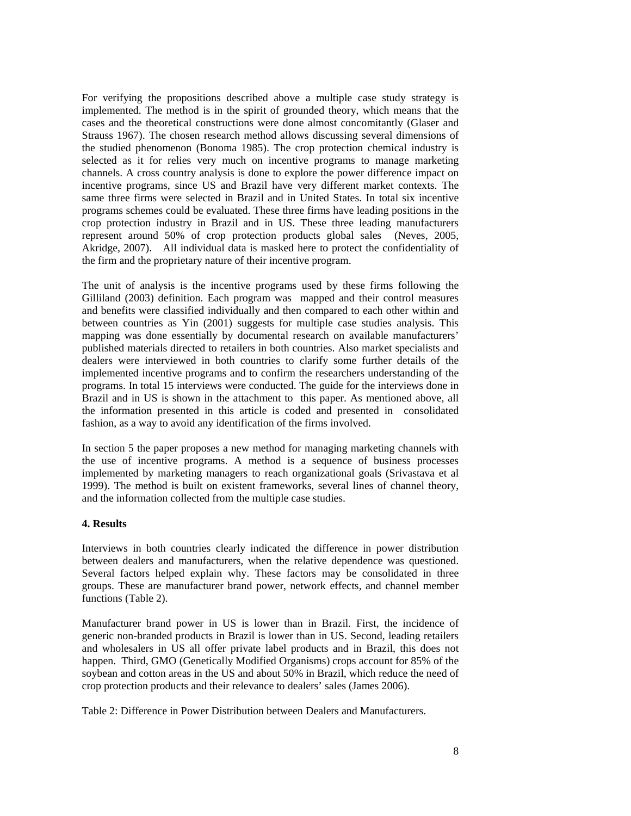For verifying the propositions described above a multiple case study strategy is implemented. The method is in the spirit of grounded theory, which means that the cases and the theoretical constructions were done almost concomitantly (Glaser and Strauss 1967). The chosen research method allows discussing several dimensions of the studied phenomenon (Bonoma 1985). The crop protection chemical industry is selected as it for relies very much on incentive programs to manage marketing channels. A cross country analysis is done to explore the power difference impact on incentive programs, since US and Brazil have very different market contexts. The same three firms were selected in Brazil and in United States. In total six incentive programs schemes could be evaluated. These three firms have leading positions in the crop protection industry in Brazil and in US. These three leading manufacturers represent around 50% of crop protection products global sales (Neves, 2005, Akridge, 2007). All individual data is masked here to protect the confidentiality of the firm and the proprietary nature of their incentive program.

The unit of analysis is the incentive programs used by these firms following the Gilliland (2003) definition. Each program was mapped and their control measures and benefits were classified individually and then compared to each other within and between countries as Yin (2001) suggests for multiple case studies analysis. This mapping was done essentially by documental research on available manufacturers' published materials directed to retailers in both countries. Also market specialists and dealers were interviewed in both countries to clarify some further details of the implemented incentive programs and to confirm the researchers understanding of the programs. In total 15 interviews were conducted. The guide for the interviews done in Brazil and in US is shown in the attachment to this paper. As mentioned above, all the information presented in this article is coded and presented in consolidated fashion, as a way to avoid any identification of the firms involved.

In section 5 the paper proposes a new method for managing marketing channels with the use of incentive programs. A method is a sequence of business processes implemented by marketing managers to reach organizational goals (Srivastava et al 1999). The method is built on existent frameworks, several lines of channel theory, and the information collected from the multiple case studies.

### **4. Results**

Interviews in both countries clearly indicated the difference in power distribution between dealers and manufacturers, when the relative dependence was questioned. Several factors helped explain why. These factors may be consolidated in three groups. These are manufacturer brand power, network effects, and channel member functions (Table 2).

Manufacturer brand power in US is lower than in Brazil. First, the incidence of generic non-branded products in Brazil is lower than in US. Second, leading retailers and wholesalers in US all offer private label products and in Brazil, this does not happen. Third, GMO (Genetically Modified Organisms) crops account for 85% of the soybean and cotton areas in the US and about 50% in Brazil, which reduce the need of crop protection products and their relevance to dealers' sales (James 2006).

Table 2: Difference in Power Distribution between Dealers and Manufacturers.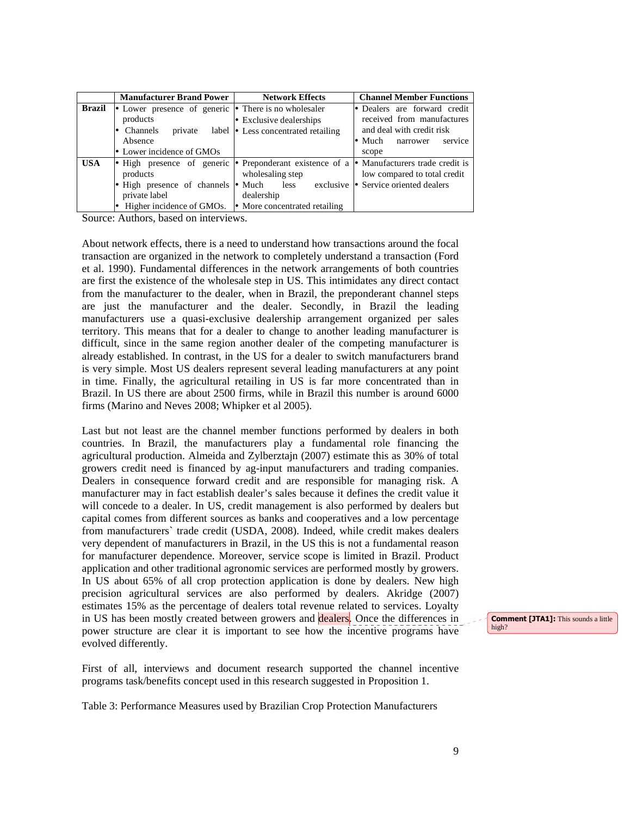|               | <b>Manufacturer Brand Power</b>                                                                                                               | <b>Network Effects</b>                                                                                                                                                           | <b>Channel Member Functions</b>                                                                                                           |
|---------------|-----------------------------------------------------------------------------------------------------------------------------------------------|----------------------------------------------------------------------------------------------------------------------------------------------------------------------------------|-------------------------------------------------------------------------------------------------------------------------------------------|
| <b>Brazil</b> | Lower presence of generic $\bullet$ There is no wholesaler<br>products<br>Channels<br>private<br>Absence<br>$\bullet$ Lower incidence of GMOs | $\bullet$ Exclusive dealerships<br>label • Less concentrated retailing                                                                                                           | • Dealers are forward credit<br>received from manufactures<br>and deal with credit risk<br>$\bullet$ Much<br>service<br>narrower<br>scope |
| <b>USA</b>    | products<br>High presence of channels<br>private label<br>Higher incidence of GMOs.                                                           | High presence of generic • Preponderant existence of a • Manufacturers trade credit is<br>wholesaling step<br>$\bullet$ Much less<br>dealership<br>• More concentrated retailing | low compared to total credit<br>exclusive • Service oriented dealers                                                                      |

Source: Authors, based on interviews.

About network effects, there is a need to understand how transactions around the focal transaction are organized in the network to completely understand a transaction (Ford et al. 1990). Fundamental differences in the network arrangements of both countries are first the existence of the wholesale step in US. This intimidates any direct contact from the manufacturer to the dealer, when in Brazil, the preponderant channel steps are just the manufacturer and the dealer. Secondly, in Brazil the leading manufacturers use a quasi-exclusive dealership arrangement organized per sales territory. This means that for a dealer to change to another leading manufacturer is difficult, since in the same region another dealer of the competing manufacturer is already established. In contrast, in the US for a dealer to switch manufacturers brand is very simple. Most US dealers represent several leading manufacturers at any point in time. Finally, the agricultural retailing in US is far more concentrated than in Brazil. In US there are about 2500 firms, while in Brazil this number is around 6000 firms (Marino and Neves 2008; Whipker et al 2005).

Last but not least are the channel member functions performed by dealers in both countries. In Brazil, the manufacturers play a fundamental role financing the agricultural production. Almeida and Zylberztajn (2007) estimate this as 30% of total growers credit need is financed by ag-input manufacturers and trading companies. Dealers in consequence forward credit and are responsible for managing risk. A manufacturer may in fact establish dealer's sales because it defines the credit value it will concede to a dealer. In US, credit management is also performed by dealers but capital comes from different sources as banks and cooperatives and a low percentage from manufacturers` trade credit (USDA, 2008). Indeed, while credit makes dealers very dependent of manufacturers in Brazil, in the US this is not a fundamental reason for manufacturer dependence. Moreover, service scope is limited in Brazil. Product application and other traditional agronomic services are performed mostly by growers. In US about 65% of all crop protection application is done by dealers. New high precision agricultural services are also performed by dealers. Akridge (2007) estimates 15% as the percentage of dealers total revenue related to services. Loyalty in US has been mostly created between growers and dealers. Once the differences in power structure are clear it is important to see how the incentive programs have evolved differently.

First of all, interviews and document research supported the channel incentive programs task/benefits concept used in this research suggested in Proposition 1.

Table 3: Performance Measures used by Brazilian Crop Protection Manufacturers

Comment [JTA1]: This sounds a little high?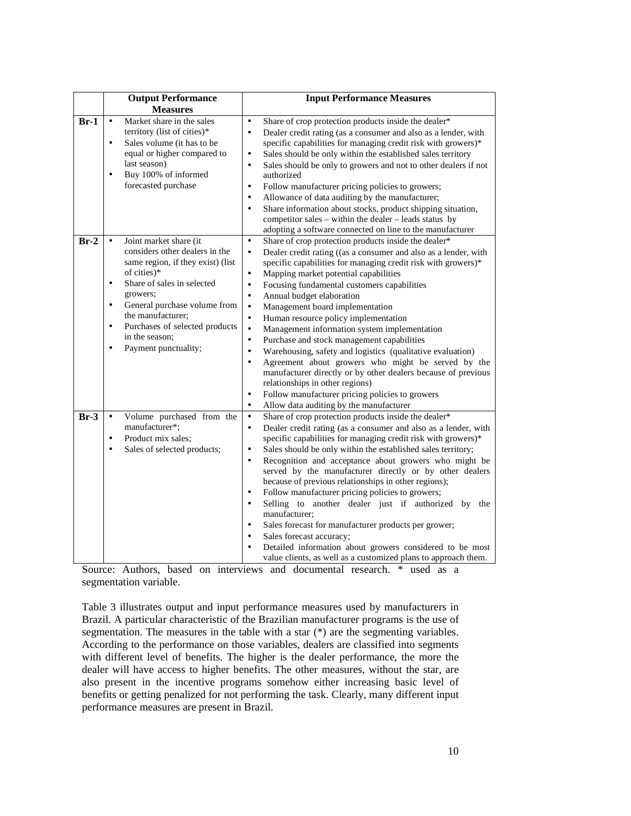|        | <b>Output Performance</b>                                                                                                                                                                                                                                                                                                                   | <b>Input Performance Measures</b>                                                                                                                                                                                                                                                                                                                                                                                                                                                                                                                                                                                                                                                                                                                                                                                                                                                                                                                                                     |
|--------|---------------------------------------------------------------------------------------------------------------------------------------------------------------------------------------------------------------------------------------------------------------------------------------------------------------------------------------------|---------------------------------------------------------------------------------------------------------------------------------------------------------------------------------------------------------------------------------------------------------------------------------------------------------------------------------------------------------------------------------------------------------------------------------------------------------------------------------------------------------------------------------------------------------------------------------------------------------------------------------------------------------------------------------------------------------------------------------------------------------------------------------------------------------------------------------------------------------------------------------------------------------------------------------------------------------------------------------------|
| $Br-1$ | <b>Measures</b><br>Market share in the sales<br>$\bullet$<br>territory (list of cities)*<br>Sales volume (it has to be<br>$\bullet$<br>equal or higher compared to<br>last season)<br>Buy 100% of informed<br>$\bullet$<br>forecasted purchase                                                                                              | Share of crop protection products inside the dealer*<br>$\bullet$<br>Dealer credit rating (as a consumer and also as a lender, with<br>$\bullet$<br>specific capabilities for managing credit risk with growers)*<br>Sales should be only within the established sales territory<br>$\bullet$<br>Sales should be only to growers and not to other dealers if not<br>$\bullet$<br>authorized<br>Follow manufacturer pricing policies to growers;<br>$\bullet$<br>Allowance of data auditing by the manufacturer;<br>$\bullet$<br>Share information about stocks, product shipping situation,<br>$\bullet$<br>competitor sales – within the dealer – leads status by<br>adopting a software connected on line to the manufacturer                                                                                                                                                                                                                                                       |
| $Br-2$ | Joint market share (it<br>considers other dealers in the<br>same region, if they exist) (list<br>of cities)*<br>Share of sales in selected<br>$\bullet$<br>growers;<br>General purchase volume from<br>$\bullet$<br>the manufacturer;<br>Purchases of selected products<br>$\bullet$<br>in the season;<br>Payment punctuality;<br>$\bullet$ | Share of crop protection products inside the dealer*<br>$\bullet$<br>$\bullet$<br>Dealer credit rating ((as a consumer and also as a lender, with<br>specific capabilities for managing credit risk with growers)*<br>Mapping market potential capabilities<br>$\bullet$<br>Focusing fundamental customers capabilities<br>$\bullet$<br>Annual budget elaboration<br>$\bullet$<br>Management board implementation<br>$\bullet$<br>Human resource policy implementation<br>$\bullet$<br>Management information system implementation<br>$\bullet$<br>Purchase and stock management capabilities<br>$\bullet$<br>Warehousing, safety and logistics (qualitative evaluation)<br>$\bullet$<br>Agreement about growers who might be served by the<br>$\bullet$<br>manufacturer directly or by other dealers because of previous<br>relationships in other regions)<br>Follow manufacturer pricing policies to growers<br>$\bullet$<br>Allow data auditing by the manufacturer<br>$\bullet$ |
| $Br-3$ | Volume purchased from the<br>$\bullet$<br>manufacturer*:<br>Product mix sales;<br>$\bullet$<br>Sales of selected products;<br>$\bullet$                                                                                                                                                                                                     | Share of crop protection products inside the dealer*<br>$\bullet$<br>Dealer credit rating (as a consumer and also as a lender, with<br>$\bullet$<br>specific capabilities for managing credit risk with growers)*<br>Sales should be only within the established sales territory;<br>$\bullet$<br>Recognition and acceptance about growers who might be<br>$\bullet$<br>served by the manufacturer directly or by other dealers<br>because of previous relationships in other regions);<br>Follow manufacturer pricing policies to growers;<br>$\bullet$<br>Selling to another dealer just if authorized by<br>$\bullet$<br>the<br>manufacturer;<br>Sales forecast for manufacturer products per grower;<br>$\bullet$<br>Sales forecast accuracy;<br>$\bullet$<br>Detailed information about growers considered to be most<br>$\bullet$<br>value clients, as well as a customized plans to approach them.                                                                             |

Source: Authors, based on interviews and documental research. \* used as a segmentation variable.

Table 3 illustrates output and input performance measures used by manufacturers in Brazil. A particular characteristic of the Brazilian manufacturer programs is the use of segmentation. The measures in the table with a star (\*) are the segmenting variables. According to the performance on those variables, dealers are classified into segments with different level of benefits. The higher is the dealer performance, the more the dealer will have access to higher benefits. The other measures, without the star, are also present in the incentive programs somehow either increasing basic level of benefits or getting penalized for not performing the task. Clearly, many different input performance measures are present in Brazil.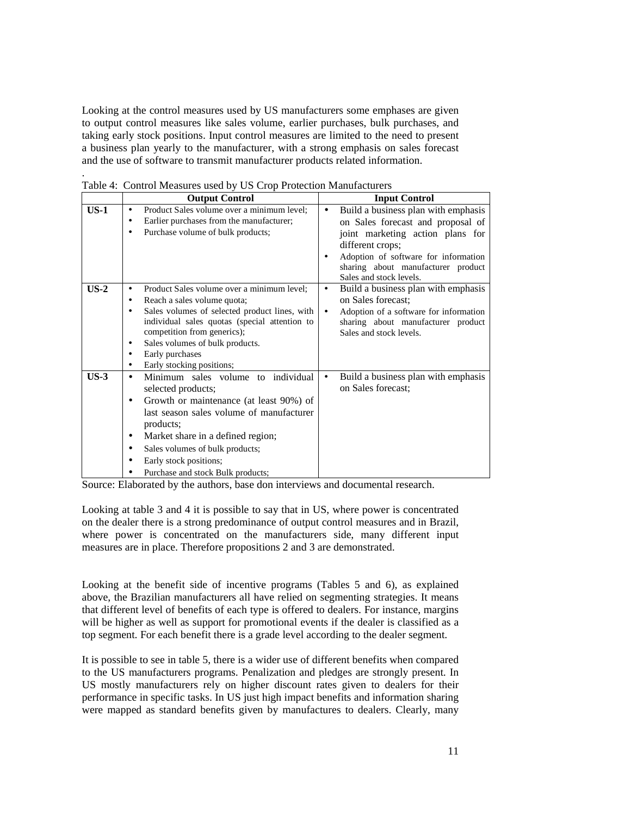Looking at the control measures used by US manufacturers some emphases are given to output control measures like sales volume, earlier purchases, bulk purchases, and taking early stock positions. Input control measures are limited to the need to present a business plan yearly to the manufacturer, with a strong emphasis on sales forecast and the use of software to transmit manufacturer products related information.

|        |           | <b>Output Control</b>                         | <b>Input Control</b> |                                        |  |
|--------|-----------|-----------------------------------------------|----------------------|----------------------------------------|--|
| $US-1$ | ٠         | Product Sales volume over a minimum level;    | $\bullet$            | Build a business plan with emphasis    |  |
|        | $\bullet$ | Earlier purchases from the manufacturer;      |                      | on Sales forecast and proposal of      |  |
|        |           | Purchase volume of bulk products;             |                      | joint marketing action plans for       |  |
|        |           |                                               |                      | different crops;                       |  |
|        |           |                                               |                      | Adoption of software for information   |  |
|        |           |                                               |                      | sharing about manufacturer product     |  |
|        |           |                                               |                      | Sales and stock levels.                |  |
| $US-2$ |           | Product Sales volume over a minimum level;    | $\bullet$            | Build a business plan with emphasis    |  |
|        | ٠         | Reach a sales volume quota;                   |                      | on Sales forecast;                     |  |
|        |           | Sales volumes of selected product lines, with | $\bullet$            | Adoption of a software for information |  |
|        |           | individual sales quotas (special attention to |                      | sharing about manufacturer product     |  |
|        |           | competition from generics);                   |                      | Sales and stock levels.                |  |
|        | $\bullet$ | Sales volumes of bulk products.               |                      |                                        |  |
|        | ٠         | Early purchases                               |                      |                                        |  |
|        | ٠         | Early stocking positions;                     |                      |                                        |  |
| $US-3$ | $\bullet$ | Minimum sales volume to individual            | $\bullet$            | Build a business plan with emphasis    |  |
|        |           | selected products;                            |                      | on Sales forecast:                     |  |
|        | ٠         | Growth or maintenance (at least 90%) of       |                      |                                        |  |
|        |           | last season sales volume of manufacturer      |                      |                                        |  |
|        |           | products;                                     |                      |                                        |  |
|        | ٠         | Market share in a defined region;             |                      |                                        |  |
|        | ٠         | Sales volumes of bulk products;               |                      |                                        |  |
|        |           | Early stock positions;                        |                      |                                        |  |
|        |           | Purchase and stock Bulk products;             |                      |                                        |  |

Table 4: Control Measures used by US Crop Protection Manufacturers

.

Source: Elaborated by the authors, base don interviews and documental research.

Looking at table 3 and 4 it is possible to say that in US, where power is concentrated on the dealer there is a strong predominance of output control measures and in Brazil, where power is concentrated on the manufacturers side, many different input measures are in place. Therefore propositions 2 and 3 are demonstrated.

Looking at the benefit side of incentive programs (Tables 5 and 6), as explained above, the Brazilian manufacturers all have relied on segmenting strategies. It means that different level of benefits of each type is offered to dealers. For instance, margins will be higher as well as support for promotional events if the dealer is classified as a top segment. For each benefit there is a grade level according to the dealer segment.

It is possible to see in table 5, there is a wider use of different benefits when compared to the US manufacturers programs. Penalization and pledges are strongly present. In US mostly manufacturers rely on higher discount rates given to dealers for their performance in specific tasks. In US just high impact benefits and information sharing were mapped as standard benefits given by manufactures to dealers. Clearly, many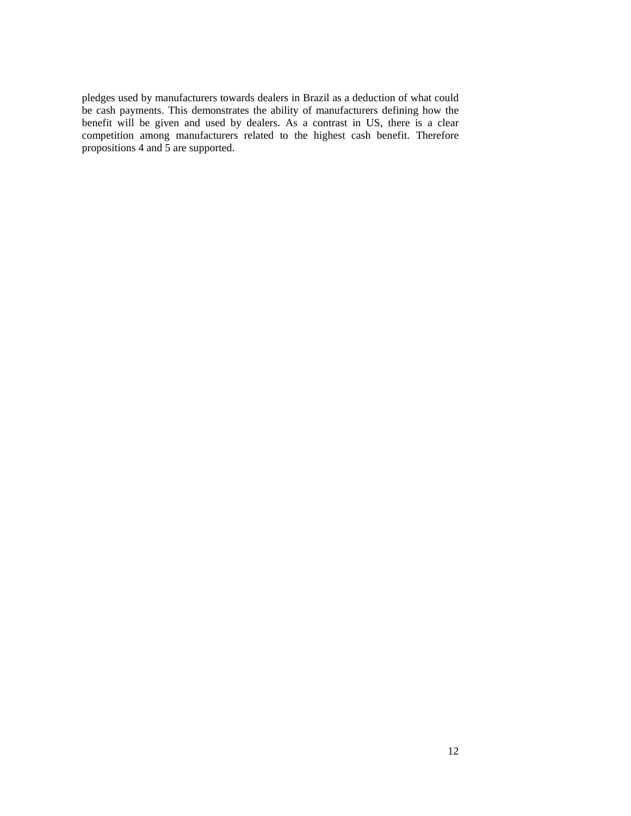pledges used by manufacturers towards dealers in Brazil as a deduction of what could be cash payments. This demonstrates the ability of manufacturers defining how the benefit will be given and used by dealers. As a contrast in US, there is a clear competition among manufacturers related to the highest cash benefit. Therefore propositions 4 and 5 are supported.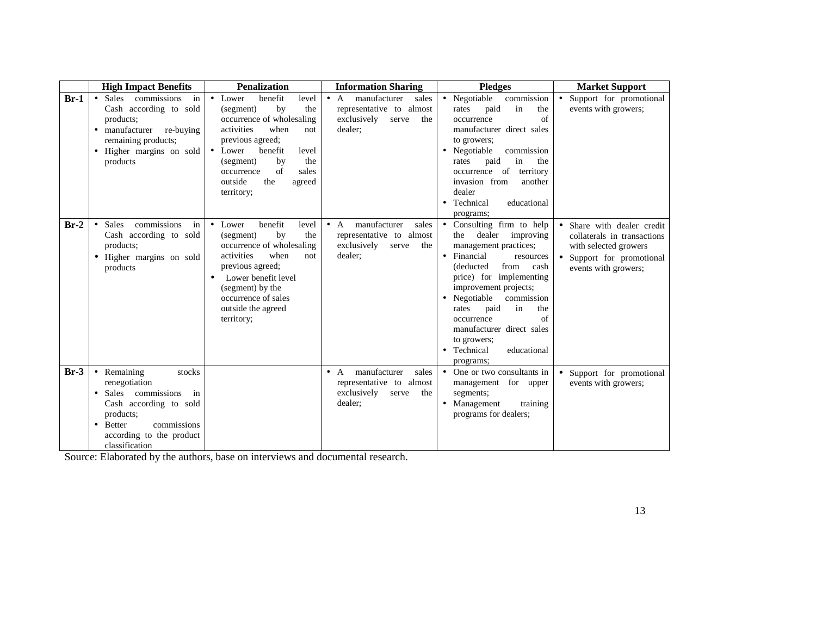|        | <b>High Impact Benefits</b>                                                                                                                                                                                                 | <b>Penalization</b>                                                                                                                                                                                                                                                         | <b>Information Sharing</b>                                                                                 | <b>Pledges</b>                                                                                                                                                                                                                                                                                                                                                             | <b>Market Support</b>                                                                                                                              |
|--------|-----------------------------------------------------------------------------------------------------------------------------------------------------------------------------------------------------------------------------|-----------------------------------------------------------------------------------------------------------------------------------------------------------------------------------------------------------------------------------------------------------------------------|------------------------------------------------------------------------------------------------------------|----------------------------------------------------------------------------------------------------------------------------------------------------------------------------------------------------------------------------------------------------------------------------------------------------------------------------------------------------------------------------|----------------------------------------------------------------------------------------------------------------------------------------------------|
| $Br-1$ | Sales commissions<br>$\bullet$<br>in<br>Cash according to sold<br>products;<br>manufacturer<br>re-buying<br>$\bullet$<br>remaining products;<br>Higher margins on sold<br>$\bullet$<br>products                             | benefit<br>$\bullet$ Lower<br>level<br>by<br>the<br>(segment)<br>occurrence of wholesaling<br>activities<br>when<br>not<br>previous agreed;<br>• Lower<br>benefit<br>level<br>the<br>by<br>(segment)<br>of<br>sales<br>occurrence<br>the<br>outside<br>agreed<br>territory; | manufacturer<br>$\bullet$ A<br>sales<br>representative to almost<br>exclusively<br>the<br>serve<br>dealer; | commission<br>• Negotiable<br>in<br>paid<br>the<br>rates<br>of<br>occurrence<br>manufacturer direct sales<br>to growers;<br>• Negotiable<br>commission<br>paid<br>in<br>the<br>rates<br>territory<br>of<br>occurrence<br>invasion from<br>another<br>dealer<br>Technical<br>educational<br>programs;                                                                       | Support for promotional<br>$\bullet$<br>events with growers;                                                                                       |
| $Br-2$ | commissions<br><b>Sales</b><br>$\bullet$<br>in<br>Cash according to sold<br>products;<br>Higher margins on sold<br>$\bullet$<br>products                                                                                    | benefit<br>• Lower<br>level<br>the<br>(segment)<br>by<br>occurrence of wholesaling<br>activities<br>when<br>not.<br>previous agreed;<br>Lower benefit level<br>(segment) by the<br>occurrence of sales<br>outside the agreed<br>territory;                                  | manufacturer<br>sales<br>$\bullet$ A<br>representative to almost<br>exclusively<br>serve<br>the<br>dealer; | • Consulting firm to help<br>the dealer improving<br>management practices;<br>• Financial<br>resources<br>cash<br>(deducted)<br>from<br>price) for implementing<br>improvement projects;<br>Negotiable<br>commission<br>$\bullet$<br>in<br>paid<br>the<br>rates<br>of<br>occurrence<br>manufacturer direct sales<br>to growers;<br>• Technical<br>educational<br>programs; | • Share with dealer credit<br>collaterals in transactions<br>with selected growers<br>Support for promotional<br>$\bullet$<br>events with growers; |
| $Br-3$ | Remaining<br>stocks<br>$\bullet$<br>renegotiation<br>Sales commissions<br>in<br>$\bullet$<br>Cash according to sold<br>products;<br>commissions<br><b>Better</b><br>$\bullet$<br>according to the product<br>classification |                                                                                                                                                                                                                                                                             | manufacturer<br>sales<br>$\bullet$ A<br>representative to almost<br>exclusively<br>the<br>serve<br>dealer; | • One or two consultants in<br>management for upper<br>segments;<br>Management<br>training<br>programs for dealers;                                                                                                                                                                                                                                                        | Support for promotional<br>events with growers;                                                                                                    |

Source: Elaborated by the authors, base on interviews and documental research.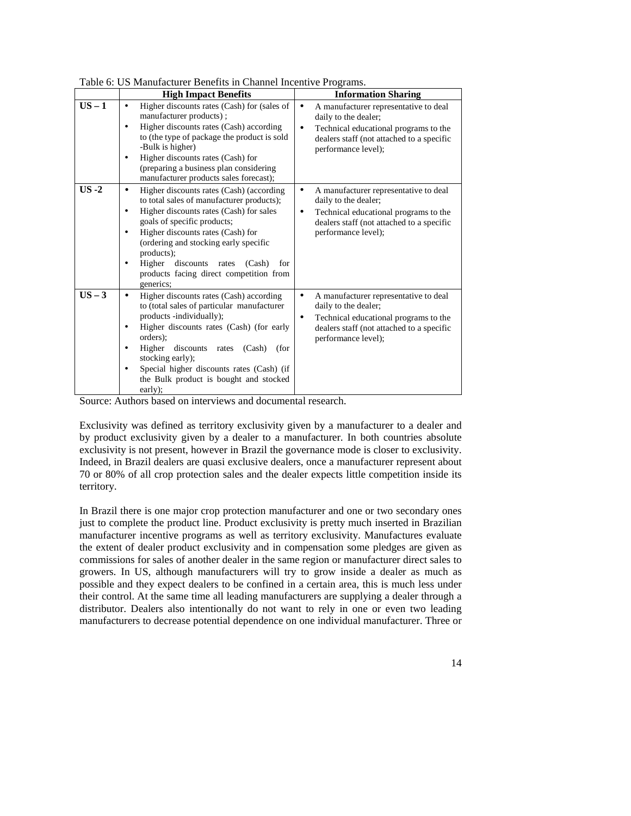|          | <b>High Impact Benefits</b>                                                                                                                                                                                                                                                                                                                                                                                   | <b>Information Sharing</b>                                                                                                                                                                           |
|----------|---------------------------------------------------------------------------------------------------------------------------------------------------------------------------------------------------------------------------------------------------------------------------------------------------------------------------------------------------------------------------------------------------------------|------------------------------------------------------------------------------------------------------------------------------------------------------------------------------------------------------|
| $US - 1$ | Higher discounts rates (Cash) for (sales of<br>٠<br>manufacturer products);<br>Higher discounts rates (Cash) according<br>٠<br>to (the type of package the product is sold<br>-Bulk is higher)<br>Higher discounts rates (Cash) for<br>$\bullet$<br>(preparing a business plan considering<br>manufacturer products sales forecast);                                                                          | A manufacturer representative to deal<br>$\bullet$<br>daily to the dealer;<br>Technical educational programs to the<br>$\bullet$<br>dealers staff (not attached to a specific<br>performance level); |
| $US -2$  | Higher discounts rates (Cash) (according<br>$\bullet$<br>to total sales of manufacturer products);<br>Higher discounts rates (Cash) for sales<br>$\bullet$<br>goals of specific products;<br>Higher discounts rates (Cash) for<br>$\bullet$<br>(ordering and stocking early specific<br>products);<br>Higher<br>discounts rates<br>for<br>(Cash)<br>٠<br>products facing direct competition from<br>generics; | A manufacturer representative to deal<br>$\bullet$<br>daily to the dealer;<br>Technical educational programs to the<br>$\bullet$<br>dealers staff (not attached to a specific<br>performance level); |
| $US - 3$ | Higher discounts rates (Cash) according<br>to (total sales of particular manufacturer<br>products -individually);<br>Higher discounts rates (Cash) (for early<br>٠<br>orders);<br>Higher<br>discounts<br>(Cash)<br>rates<br>(for<br>٠<br>stocking early);<br>Special higher discounts rates (Cash) (if<br>٠<br>the Bulk product is bought and stocked<br>early);                                              | A manufacturer representative to deal<br>$\bullet$<br>daily to the dealer;<br>Technical educational programs to the<br>$\bullet$<br>dealers staff (not attached to a specific<br>performance level); |

Table 6: US Manufacturer Benefits in Channel Incentive Programs.

Source: Authors based on interviews and documental research.

Exclusivity was defined as territory exclusivity given by a manufacturer to a dealer and by product exclusivity given by a dealer to a manufacturer. In both countries absolute exclusivity is not present, however in Brazil the governance mode is closer to exclusivity. Indeed, in Brazil dealers are quasi exclusive dealers, once a manufacturer represent about 70 or 80% of all crop protection sales and the dealer expects little competition inside its territory.

In Brazil there is one major crop protection manufacturer and one or two secondary ones just to complete the product line. Product exclusivity is pretty much inserted in Brazilian manufacturer incentive programs as well as territory exclusivity. Manufactures evaluate the extent of dealer product exclusivity and in compensation some pledges are given as commissions for sales of another dealer in the same region or manufacturer direct sales to growers. In US, although manufacturers will try to grow inside a dealer as much as possible and they expect dealers to be confined in a certain area, this is much less under their control. At the same time all leading manufacturers are supplying a dealer through a distributor. Dealers also intentionally do not want to rely in one or even two leading manufacturers to decrease potential dependence on one individual manufacturer. Three or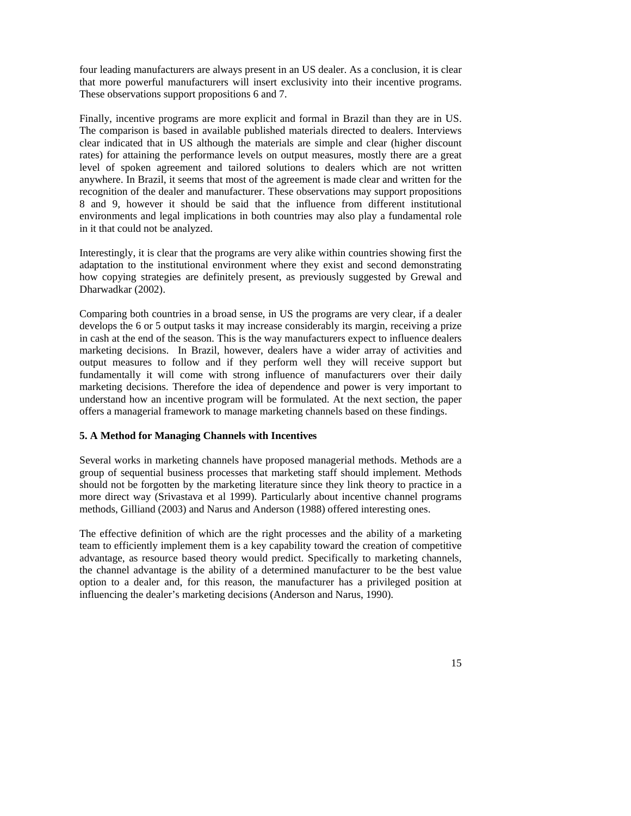four leading manufacturers are always present in an US dealer. As a conclusion, it is clear that more powerful manufacturers will insert exclusivity into their incentive programs. These observations support propositions 6 and 7.

Finally, incentive programs are more explicit and formal in Brazil than they are in US. The comparison is based in available published materials directed to dealers. Interviews clear indicated that in US although the materials are simple and clear (higher discount rates) for attaining the performance levels on output measures, mostly there are a great level of spoken agreement and tailored solutions to dealers which are not written anywhere. In Brazil, it seems that most of the agreement is made clear and written for the recognition of the dealer and manufacturer. These observations may support propositions 8 and 9, however it should be said that the influence from different institutional environments and legal implications in both countries may also play a fundamental role in it that could not be analyzed.

Interestingly, it is clear that the programs are very alike within countries showing first the adaptation to the institutional environment where they exist and second demonstrating how copying strategies are definitely present, as previously suggested by Grewal and Dharwadkar (2002).

Comparing both countries in a broad sense, in US the programs are very clear, if a dealer develops the 6 or 5 output tasks it may increase considerably its margin, receiving a prize in cash at the end of the season. This is the way manufacturers expect to influence dealers marketing decisions. In Brazil, however, dealers have a wider array of activities and output measures to follow and if they perform well they will receive support but fundamentally it will come with strong influence of manufacturers over their daily marketing decisions. Therefore the idea of dependence and power is very important to understand how an incentive program will be formulated. At the next section, the paper offers a managerial framework to manage marketing channels based on these findings.

### **5. A Method for Managing Channels with Incentives**

Several works in marketing channels have proposed managerial methods. Methods are a group of sequential business processes that marketing staff should implement. Methods should not be forgotten by the marketing literature since they link theory to practice in a more direct way (Srivastava et al 1999). Particularly about incentive channel programs methods, Gilliand (2003) and Narus and Anderson (1988) offered interesting ones.

The effective definition of which are the right processes and the ability of a marketing team to efficiently implement them is a key capability toward the creation of competitive advantage, as resource based theory would predict. Specifically to marketing channels, the channel advantage is the ability of a determined manufacturer to be the best value option to a dealer and, for this reason, the manufacturer has a privileged position at influencing the dealer's marketing decisions (Anderson and Narus, 1990).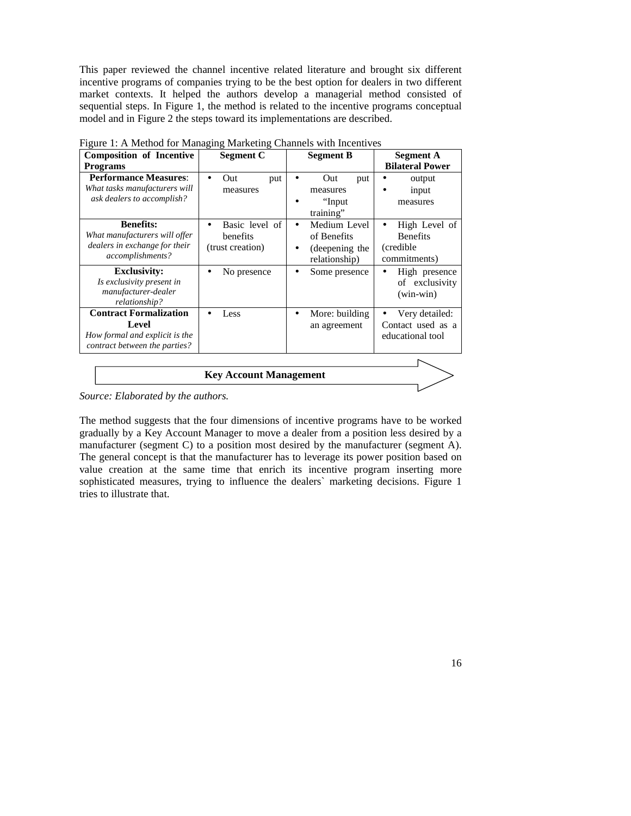This paper reviewed the channel incentive related literature and brought six different incentive programs of companies trying to be the best option for dealers in two different market contexts. It helped the authors develop a managerial method consisted of sequential steps. In Figure 1, the method is related to the incentive programs conceptual model and in Figure 2 the steps toward its implementations are described.

| <b>Composition of Incentive</b><br><b>Programs</b>                                                        | <b>Segment C</b>                                            | <b>Segment B</b>                                                         | <b>Segment A</b><br><b>Bilateral Power</b>                     |  |
|-----------------------------------------------------------------------------------------------------------|-------------------------------------------------------------|--------------------------------------------------------------------------|----------------------------------------------------------------|--|
| <b>Performance Measures:</b><br>What tasks manufacturers will<br>ask dealers to accomplish?               | Out<br>put<br>$\bullet$<br>measures                         | Out<br>put<br>measures<br>"Input<br>training"                            | output<br>input<br>measures                                    |  |
| <b>Benefits:</b><br>What manufacturers will offer<br>dealers in exchange for their<br>accomplishments?    | Basic level of<br>$\bullet$<br>benefits<br>(trust creation) | Medium Level<br>٠<br>of Benefits<br>(deepening the<br>٠<br>relationship) | High Level of<br><b>Benefits</b><br>(credible)<br>commitments) |  |
| <b>Exclusivity:</b><br>Is exclusivity present in<br>manufacturer-dealer<br>relationship?                  | No presence<br>$\bullet$                                    | Some presence                                                            | High presence<br>of exclusivity<br>$(win-win)$                 |  |
| <b>Contract Formalization</b><br>Level<br>How formal and explicit is the<br>contract between the parties? | Less                                                        | More: building<br>$\bullet$<br>an agreement                              | Very detailed:<br>Contact used as a<br>educational tool        |  |
| <b>Key Account Management</b>                                                                             |                                                             |                                                                          |                                                                |  |

Figure 1: A Method for Managing Marketing Channels with Incentives

*Source: Elaborated by the authors.* 

The method suggests that the four dimensions of incentive programs have to be worked gradually by a Key Account Manager to move a dealer from a position less desired by a manufacturer (segment C) to a position most desired by the manufacturer (segment A). The general concept is that the manufacturer has to leverage its power position based on value creation at the same time that enrich its incentive program inserting more sophisticated measures, trying to influence the dealers` marketing decisions. Figure 1 tries to illustrate that.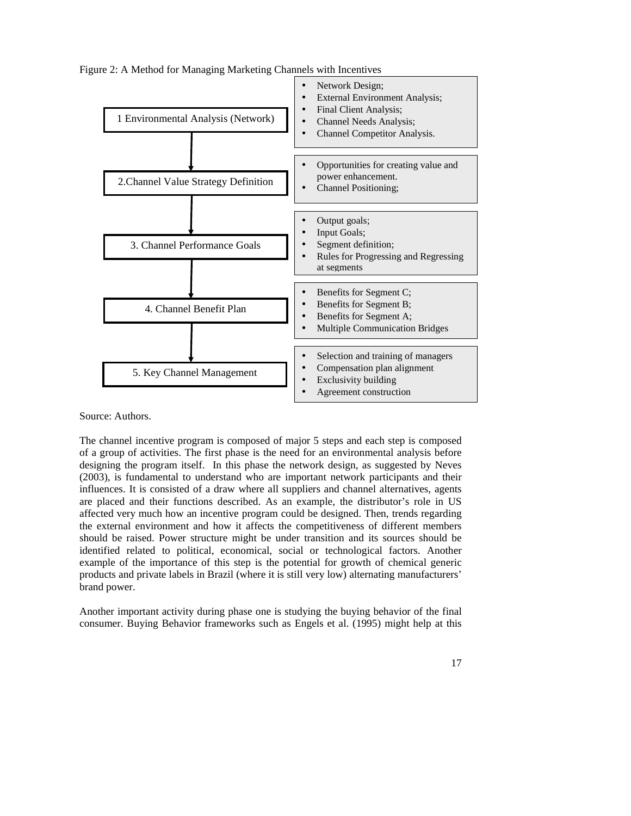

Figure 2: A Method for Managing Marketing Channels with Incentives

Source: Authors.

The channel incentive program is composed of major 5 steps and each step is composed of a group of activities. The first phase is the need for an environmental analysis before designing the program itself. In this phase the network design, as suggested by Neves (2003), is fundamental to understand who are important network participants and their influences. It is consisted of a draw where all suppliers and channel alternatives, agents are placed and their functions described. As an example, the distributor's role in US affected very much how an incentive program could be designed. Then, trends regarding the external environment and how it affects the competitiveness of different members should be raised. Power structure might be under transition and its sources should be identified related to political, economical, social or technological factors. Another example of the importance of this step is the potential for growth of chemical generic products and private labels in Brazil (where it is still very low) alternating manufacturers' brand power.

Another important activity during phase one is studying the buying behavior of the final consumer. Buying Behavior frameworks such as Engels et al. (1995) might help at this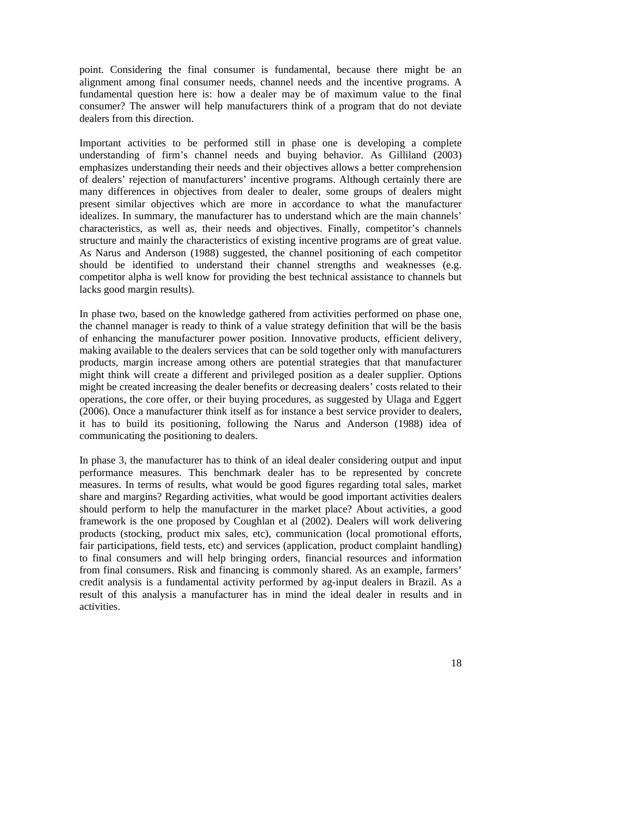point. Considering the final consumer is fundamental, because there might be an alignment among final consumer needs, channel needs and the incentive programs. A fundamental question here is: how a dealer may be of maximum value to the final consumer? The answer will help manufacturers think of a program that do not deviate dealers from this direction.

Important activities to be performed still in phase one is developing a complete understanding of firm's channel needs and buying behavior. As Gilliland (2003) emphasizes understanding their needs and their objectives allows a better comprehension of dealers' rejection of manufacturers' incentive programs. Although certainly there are many differences in objectives from dealer to dealer, some groups of dealers might present similar objectives which are more in accordance to what the manufacturer idealizes. In summary, the manufacturer has to understand which are the main channels' characteristics, as well as, their needs and objectives. Finally, competitor's channels structure and mainly the characteristics of existing incentive programs are of great value. As Narus and Anderson (1988) suggested, the channel positioning of each competitor should be identified to understand their channel strengths and weaknesses (e.g. competitor alpha is well know for providing the best technical assistance to channels but lacks good margin results).

In phase two, based on the knowledge gathered from activities performed on phase one, the channel manager is ready to think of a value strategy definition that will be the basis of enhancing the manufacturer power position. Innovative products, efficient delivery, making available to the dealers services that can be sold together only with manufacturers products, margin increase among others are potential strategies that that manufacturer might think will create a different and privileged position as a dealer supplier. Options might be created increasing the dealer benefits or decreasing dealers' costs related to their operations, the core offer, or their buying procedures, as suggested by Ulaga and Eggert (2006). Once a manufacturer think itself as for instance a best service provider to dealers, it has to build its positioning, following the Narus and Anderson (1988) idea of communicating the positioning to dealers.

In phase 3, the manufacturer has to think of an ideal dealer considering output and input performance measures. This benchmark dealer has to be represented by concrete measures. In terms of results, what would be good figures regarding total sales, market share and margins? Regarding activities, what would be good important activities dealers should perform to help the manufacturer in the market place? About activities, a good framework is the one proposed by Coughlan et al (2002). Dealers will work delivering products (stocking, product mix sales, etc), communication (local promotional efforts, fair participations, field tests, etc) and services (application, product complaint handling) to final consumers and will help bringing orders, financial resources and information from final consumers. Risk and financing is commonly shared. As an example, farmers' credit analysis is a fundamental activity performed by ag-input dealers in Brazil. As a result of this analysis a manufacturer has in mind the ideal dealer in results and in activities.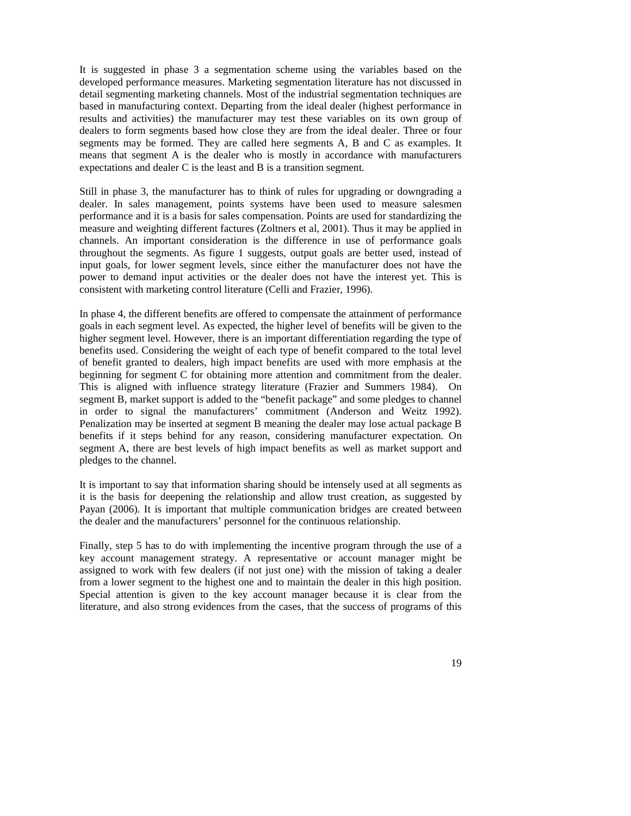It is suggested in phase 3 a segmentation scheme using the variables based on the developed performance measures. Marketing segmentation literature has not discussed in detail segmenting marketing channels. Most of the industrial segmentation techniques are based in manufacturing context. Departing from the ideal dealer (highest performance in results and activities) the manufacturer may test these variables on its own group of dealers to form segments based how close they are from the ideal dealer. Three or four segments may be formed. They are called here segments A, B and C as examples. It means that segment A is the dealer who is mostly in accordance with manufacturers expectations and dealer C is the least and B is a transition segment.

Still in phase 3, the manufacturer has to think of rules for upgrading or downgrading a dealer. In sales management, points systems have been used to measure salesmen performance and it is a basis for sales compensation. Points are used for standardizing the measure and weighting different factures (Zoltners et al, 2001). Thus it may be applied in channels. An important consideration is the difference in use of performance goals throughout the segments. As figure 1 suggests, output goals are better used, instead of input goals, for lower segment levels, since either the manufacturer does not have the power to demand input activities or the dealer does not have the interest yet. This is consistent with marketing control literature (Celli and Frazier, 1996).

In phase 4, the different benefits are offered to compensate the attainment of performance goals in each segment level. As expected, the higher level of benefits will be given to the higher segment level. However, there is an important differentiation regarding the type of benefits used. Considering the weight of each type of benefit compared to the total level of benefit granted to dealers, high impact benefits are used with more emphasis at the beginning for segment C for obtaining more attention and commitment from the dealer. This is aligned with influence strategy literature (Frazier and Summers 1984). On segment B, market support is added to the "benefit package" and some pledges to channel in order to signal the manufacturers' commitment (Anderson and Weitz 1992). Penalization may be inserted at segment B meaning the dealer may lose actual package B benefits if it steps behind for any reason, considering manufacturer expectation. On segment A, there are best levels of high impact benefits as well as market support and pledges to the channel.

It is important to say that information sharing should be intensely used at all segments as it is the basis for deepening the relationship and allow trust creation, as suggested by Payan (2006). It is important that multiple communication bridges are created between the dealer and the manufacturers' personnel for the continuous relationship.

Finally, step 5 has to do with implementing the incentive program through the use of a key account management strategy. A representative or account manager might be assigned to work with few dealers (if not just one) with the mission of taking a dealer from a lower segment to the highest one and to maintain the dealer in this high position. Special attention is given to the key account manager because it is clear from the literature, and also strong evidences from the cases, that the success of programs of this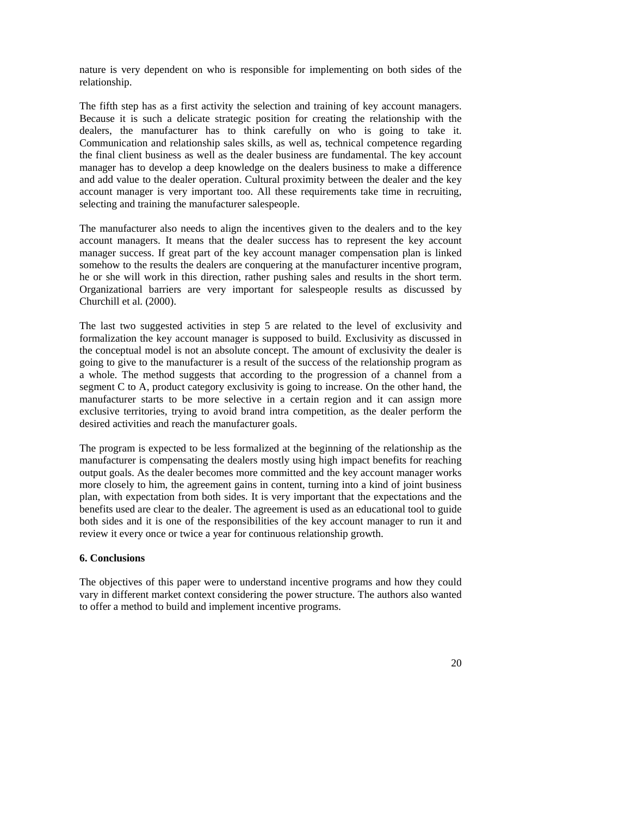nature is very dependent on who is responsible for implementing on both sides of the relationship.

The fifth step has as a first activity the selection and training of key account managers. Because it is such a delicate strategic position for creating the relationship with the dealers, the manufacturer has to think carefully on who is going to take it. Communication and relationship sales skills, as well as, technical competence regarding the final client business as well as the dealer business are fundamental. The key account manager has to develop a deep knowledge on the dealers business to make a difference and add value to the dealer operation. Cultural proximity between the dealer and the key account manager is very important too. All these requirements take time in recruiting, selecting and training the manufacturer salespeople.

The manufacturer also needs to align the incentives given to the dealers and to the key account managers. It means that the dealer success has to represent the key account manager success. If great part of the key account manager compensation plan is linked somehow to the results the dealers are conquering at the manufacturer incentive program, he or she will work in this direction, rather pushing sales and results in the short term. Organizational barriers are very important for salespeople results as discussed by Churchill et al. (2000).

The last two suggested activities in step 5 are related to the level of exclusivity and formalization the key account manager is supposed to build. Exclusivity as discussed in the conceptual model is not an absolute concept. The amount of exclusivity the dealer is going to give to the manufacturer is a result of the success of the relationship program as a whole. The method suggests that according to the progression of a channel from a segment C to A, product category exclusivity is going to increase. On the other hand, the manufacturer starts to be more selective in a certain region and it can assign more exclusive territories, trying to avoid brand intra competition, as the dealer perform the desired activities and reach the manufacturer goals.

The program is expected to be less formalized at the beginning of the relationship as the manufacturer is compensating the dealers mostly using high impact benefits for reaching output goals. As the dealer becomes more committed and the key account manager works more closely to him, the agreement gains in content, turning into a kind of joint business plan, with expectation from both sides. It is very important that the expectations and the benefits used are clear to the dealer. The agreement is used as an educational tool to guide both sides and it is one of the responsibilities of the key account manager to run it and review it every once or twice a year for continuous relationship growth.

## **6. Conclusions**

The objectives of this paper were to understand incentive programs and how they could vary in different market context considering the power structure. The authors also wanted to offer a method to build and implement incentive programs.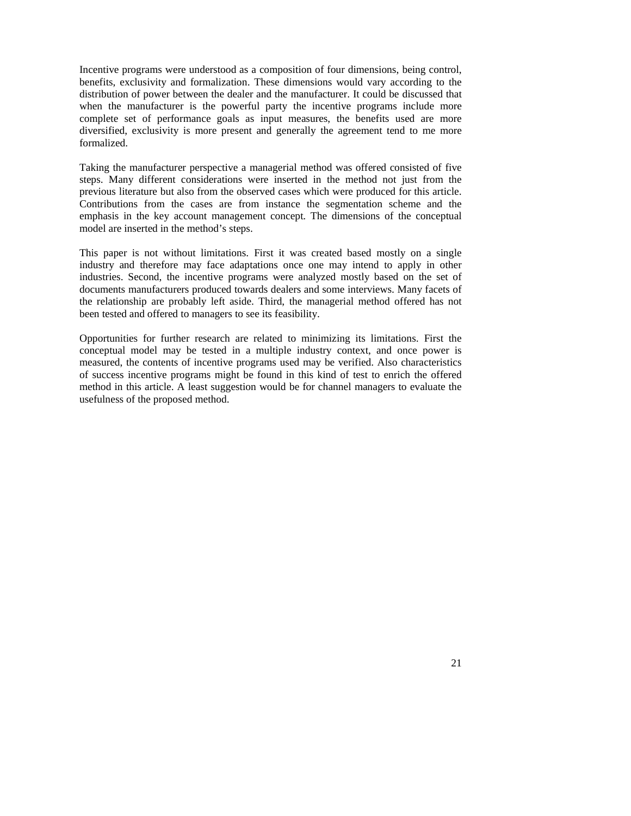Incentive programs were understood as a composition of four dimensions, being control, benefits, exclusivity and formalization. These dimensions would vary according to the distribution of power between the dealer and the manufacturer. It could be discussed that when the manufacturer is the powerful party the incentive programs include more complete set of performance goals as input measures, the benefits used are more diversified, exclusivity is more present and generally the agreement tend to me more formalized.

Taking the manufacturer perspective a managerial method was offered consisted of five steps. Many different considerations were inserted in the method not just from the previous literature but also from the observed cases which were produced for this article. Contributions from the cases are from instance the segmentation scheme and the emphasis in the key account management concept. The dimensions of the conceptual model are inserted in the method's steps.

This paper is not without limitations. First it was created based mostly on a single industry and therefore may face adaptations once one may intend to apply in other industries. Second, the incentive programs were analyzed mostly based on the set of documents manufacturers produced towards dealers and some interviews. Many facets of the relationship are probably left aside. Third, the managerial method offered has not been tested and offered to managers to see its feasibility.

Opportunities for further research are related to minimizing its limitations. First the conceptual model may be tested in a multiple industry context, and once power is measured, the contents of incentive programs used may be verified. Also characteristics of success incentive programs might be found in this kind of test to enrich the offered method in this article. A least suggestion would be for channel managers to evaluate the usefulness of the proposed method.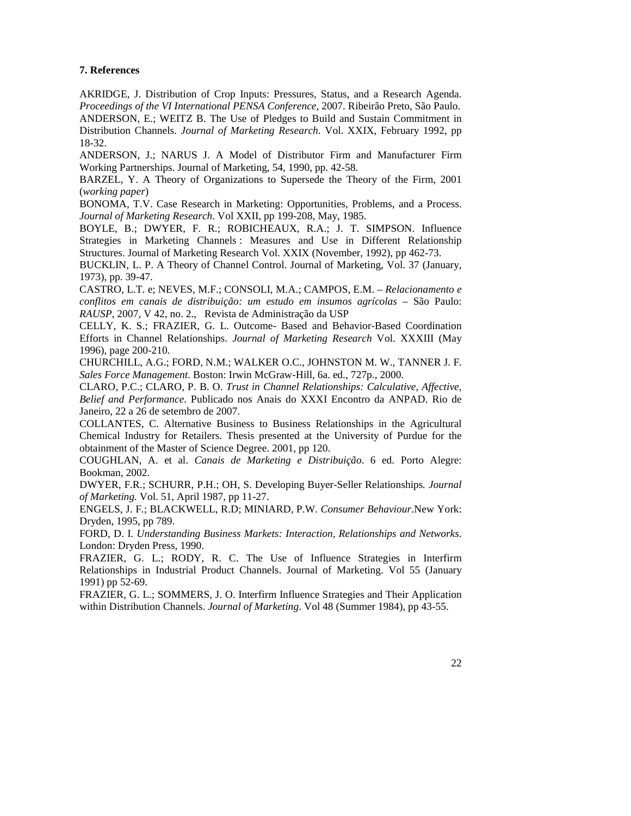### **7. References**

AKRIDGE, J. Distribution of Crop Inputs: Pressures, Status, and a Research Agenda. *Proceedings of the VI International PENSA Conference*, 2007. Ribeirão Preto, São Paulo. ANDERSON, E.; WEITZ B. The Use of Pledges to Build and Sustain Commitment in Distribution Channels. *Journal of Marketing Research*. Vol. XXIX, February 1992, pp 18-32.

ANDERSON, J.; NARUS J. A Model of Distributor Firm and Manufacturer Firm Working Partnerships. Journal of Marketing, 54, 1990, pp. 42-58.

BARZEL, Y. A Theory of Organizations to Supersede the Theory of the Firm, 2001 (*working paper*)

BONOMA, T.V. Case Research in Marketing: Opportunities, Problems, and a Process. *Journal of Marketing Research*. Vol XXII, pp 199-208, May, 1985.

BOYLE, B.; DWYER, F. R.; ROBICHEAUX, R.A.; J. T. SIMPSON. Influence Strategies in Marketing Channels : Measures and Use in Different Relationship Structures. Journal of Marketing Research Vol. XXIX (November, 1992), pp 462-73.

BUCKLIN, L. P. A Theory of Channel Control. Journal of Marketing, Vol. 37 (January, 1973), pp. 39-47.

CASTRO, L.T. e; NEVES, M.F.; CONSOLI, M.A.; CAMPOS, E.M. – *Relacionamento e conflitos em canais de distribuição: um estudo em insumos agrícolas* – São Paulo: *RAUSP*, 2007, V 42, no. 2., Revista de Administração da USP

CELLY, K. S.; FRAZIER, G. L. Outcome- Based and Behavior-Based Coordination Efforts in Channel Relationships. *Journal of Marketing Research* Vol. XXXIII (May 1996), page 200-210.

CHURCHILL, A.G.; FORD, N.M.; WALKER O.C., JOHNSTON M. W., TANNER J. F. *Sales Force Management.* Boston: Irwin McGraw-Hill, 6a. ed., 727p., 2000.

CLARO, P.C.; CLARO, P. B. O. *Trust in Channel Relationships: Calculative, Affective, Belief and Performance*. Publicado nos Anais do XXXI Encontro da ANPAD. Rio de Janeiro, 22 a 26 de setembro de 2007.

COLLANTES, C. Alternative Business to Business Relationships in the Agricultural Chemical Industry for Retailers. Thesis presented at the University of Purdue for the obtainment of the Master of Science Degree. 2001, pp 120.

COUGHLAN, A. et al. *Canais de Marketing e Distribuição*. 6 ed. Porto Alegre: Bookman, 2002.

DWYER, F.R.; SCHURR, P.H.; OH, S. Developing Buyer-Seller Relationships*. Journal of Marketing.* Vol. 51, April 1987, pp 11-27.

ENGELS, J. F.; BLACKWELL, R.D; MINIARD, P.W. *Consumer Behaviour*.New York: Dryden, 1995, pp 789.

FORD, D. I. *Understanding Business Markets: Interaction, Relationships and Networks*. London: Dryden Press, 1990.

FRAZIER, G. L.; RODY, R. C. The Use of Influence Strategies in Interfirm Relationships in Industrial Product Channels. Journal of Marketing. Vol 55 (January 1991) pp 52-69.

FRAZIER, G. L.; SOMMERS, J. O. Interfirm Influence Strategies and Their Application within Distribution Channels. *Journal of Marketing*. Vol 48 (Summer 1984), pp 43-55.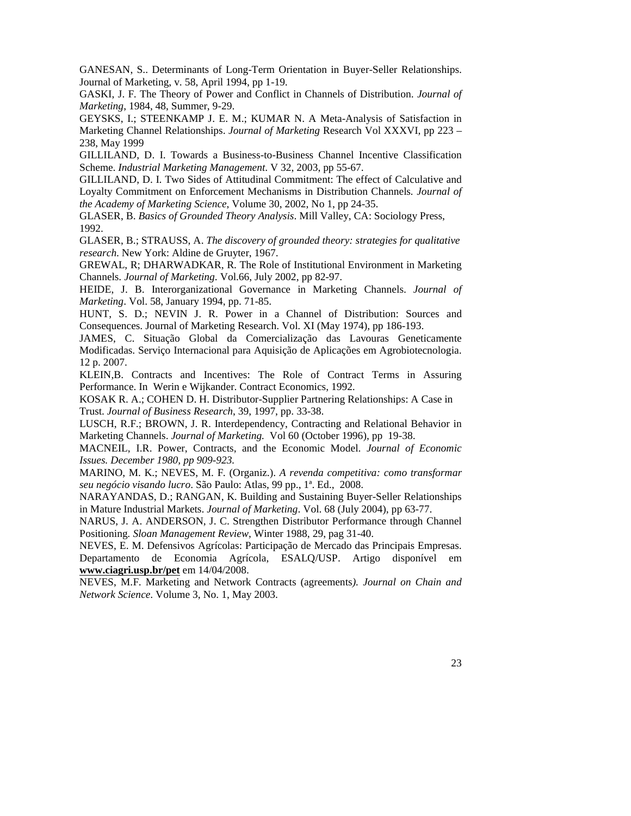GANESAN, S.. Determinants of Long-Term Orientation in Buyer-Seller Relationships. Journal of Marketing, v. 58, April 1994, pp 1-19.

GASKI, J. F. The Theory of Power and Conflict in Channels of Distribution. *Journal of Marketing*, 1984, 48, Summer, 9-29.

GEYSKS, I.; STEENKAMP J. E. M.; KUMAR N. A Meta-Analysis of Satisfaction in Marketing Channel Relationships. *Journal of Marketing* Research Vol XXXVI, pp 223 – 238, May 1999

GILLILAND, D. I. Towards a Business-to-Business Channel Incentive Classification Scheme. *Industrial Marketing Management*. V 32, 2003, pp 55-67.

GILLILAND, D. I. Two Sides of Attitudinal Commitment: The effect of Calculative and Loyalty Commitment on Enforcement Mechanisms in Distribution Channels*. Journal of the Academy of Marketing Science*, Volume 30, 2002, No 1, pp 24-35.

GLASER, B. *Basics of Grounded Theory Analysis*. Mill Valley, CA: Sociology Press, 1992.

GLASER, B.; STRAUSS, A. *The discovery of grounded theory: strategies for qualitative research*. New York: Aldine de Gruyter, 1967.

GREWAL, R; DHARWADKAR, R. The Role of Institutional Environment in Marketing Channels. *Journal of Marketing*. Vol.66, July 2002, pp 82-97.

HEIDE, J. B. Interorganizational Governance in Marketing Channels. *Journal of Marketing*. Vol. 58, January 1994, pp. 71-85.

HUNT, S. D.; NEVIN J. R. Power in a Channel of Distribution: Sources and Consequences. Journal of Marketing Research. Vol. XI (May 1974), pp 186-193.

JAMES, C. Situação Global da Comercialização das Lavouras Geneticamente Modificadas. Serviço Internacional para Aquisição de Aplicações em Agrobiotecnologia. 12 p. 2007.

KLEIN,B. Contracts and Incentives: The Role of Contract Terms in Assuring Performance. In Werin e Wijkander. Contract Economics, 1992.

KOSAK R. A.; COHEN D. H. Distributor-Supplier Partnering Relationships: A Case in Trust. *Journal of Business Research*, 39, 1997, pp. 33-38.

LUSCH, R.F.; BROWN, J. R. Interdependency, Contracting and Relational Behavior in Marketing Channels. *Journal of Marketing.* Vol 60 (October 1996), pp 19-38.

MACNEIL, I.R. Power, Contracts, and the Economic Model. *Journal of Economic Issues. December 1980, pp 909-923.*

MARINO, M. K.; NEVES, M. F. (Organiz.). *A revenda competitiva: como transformar seu negócio visando lucro*. São Paulo: Atlas, 99 pp., 1ª. Ed., 2008.

NARAYANDAS, D.; RANGAN, K. Building and Sustaining Buyer-Seller Relationships in Mature Industrial Markets. *Journal of Marketing*. Vol. 68 (July 2004), pp 63-77.

NARUS, J. A. ANDERSON, J. C. Strengthen Distributor Performance through Channel Positioning*. Sloan Management Review*, Winter 1988, 29, pag 31-40.

NEVES, E. M. Defensivos Agrícolas: Participação de Mercado das Principais Empresas. Departamento de Economia Agrícola, ESALQ/USP. Artigo disponível em **www.ciagri.usp.br/pet** em 14/04/2008.

NEVES, M.F. Marketing and Network Contracts (agreements*). Journal on Chain and Network Science*. Volume 3, No. 1, May 2003.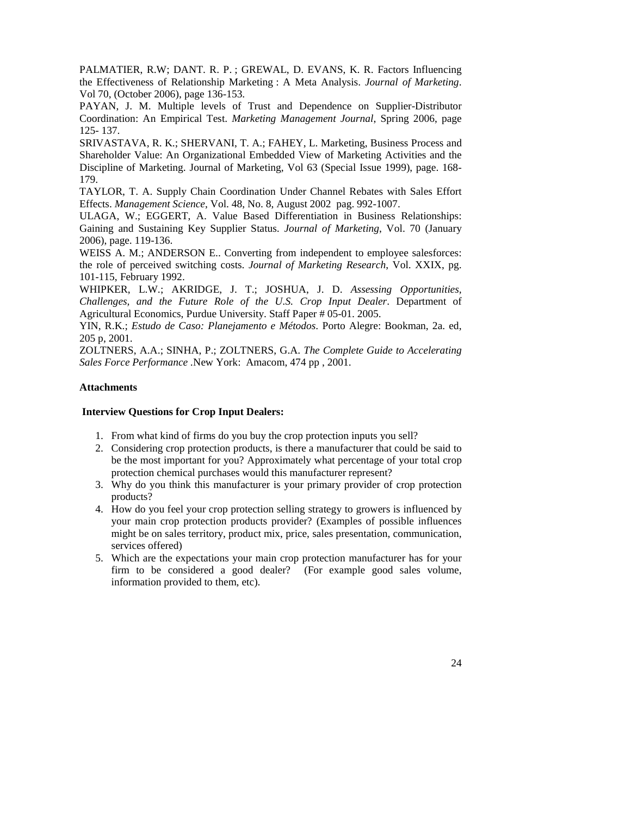PALMATIER, R.W; DANT. R. P. ; GREWAL, D. EVANS, K. R. Factors Influencing the Effectiveness of Relationship Marketing : A Meta Analysis. *Journal of Marketing*. Vol 70, (October 2006), page 136-153.

PAYAN, J. M. Multiple levels of Trust and Dependence on Supplier-Distributor Coordination: An Empirical Test. *Marketing Management Journal*, Spring 2006, page 125- 137.

SRIVASTAVA, R. K.; SHERVANI, T. A.; FAHEY, L. Marketing, Business Process and Shareholder Value: An Organizational Embedded View of Marketing Activities and the Discipline of Marketing. Journal of Marketing, Vol 63 (Special Issue 1999), page. 168- 179.

TAYLOR, T. A. Supply Chain Coordination Under Channel Rebates with Sales Effort Effects. *Management Science*, Vol. 48, No. 8, August 2002 pag. 992-1007.

ULAGA, W.; EGGERT, A. Value Based Differentiation in Business Relationships: Gaining and Sustaining Key Supplier Status. *Journal of Marketing*, Vol. 70 (January 2006), page. 119-136.

WEISS A. M.; ANDERSON E.. Converting from independent to employee salesforces: the role of perceived switching costs. *Journal of Marketing Research*, Vol. XXIX, pg. 101-115, February 1992.

WHIPKER, L.W.; AKRIDGE, J. T.; JOSHUA, J. D. *Assessing Opportunities, Challenges, and the Future Role of the U.S. Crop Input Dealer*. Department of Agricultural Economics, Purdue University. Staff Paper # 05-01. 2005.

YIN, R.K.; *Estudo de Caso: Planejamento e Métodos*. Porto Alegre: Bookman, 2a. ed, 205 p, 2001.

ZOLTNERS, A.A.; SINHA, P.; ZOLTNERS, G.A. *The Complete Guide to Accelerating Sales Force Performance .*New York:Amacom, 474 pp , 2001.

# **Attachments**

# **Interview Questions for Crop Input Dealers:**

- 1. From what kind of firms do you buy the crop protection inputs you sell?
- 2. Considering crop protection products, is there a manufacturer that could be said to be the most important for you? Approximately what percentage of your total crop protection chemical purchases would this manufacturer represent?
- 3. Why do you think this manufacturer is your primary provider of crop protection products?
- 4. How do you feel your crop protection selling strategy to growers is influenced by your main crop protection products provider? (Examples of possible influences might be on sales territory, product mix, price, sales presentation, communication, services offered)
- 5. Which are the expectations your main crop protection manufacturer has for your firm to be considered a good dealer? (For example good sales volume, information provided to them, etc).